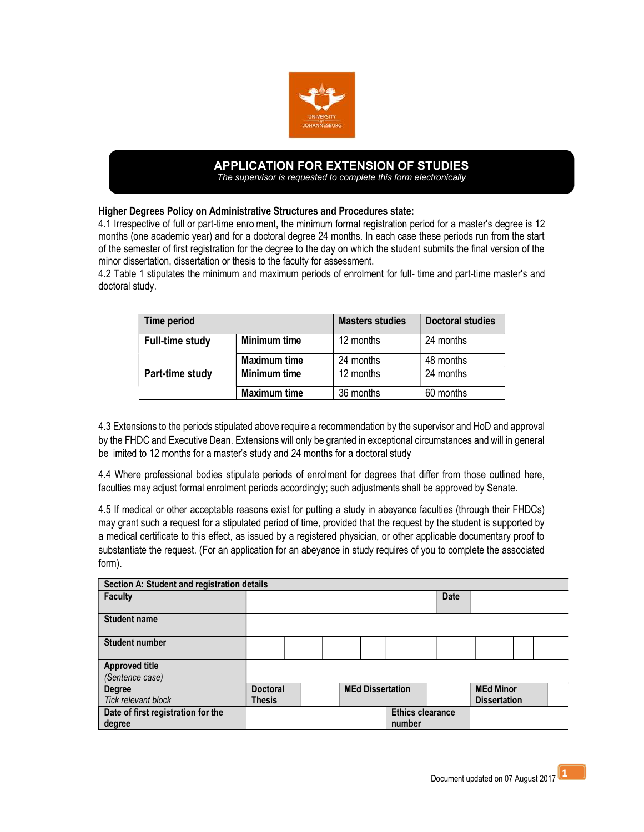

## APPLICATION FOR EXTENSION OF STUDIES The supervisor is requested to complete this form electronically

Higher Degrees Policy on Administrative Structures and Procedures state:

4.1 Irrespective of full or part-time enrolment, the minimum formal registration period for a master's degree is 12 months (one academic year) and for a doctoral degree 24 months. In each case these periods run from the start of the semester of first registration for the degree to the day on which the student submits the final version of the minor dissertation, dissertation or thesis to the faculty for assessment.

4.2 Table 1 stipulates the minimum and maximum periods of enrolment for full- time and part-time master's and doctoral study.

| Time period            |                     | <b>Masters studies</b> | <b>Doctoral studies</b> |
|------------------------|---------------------|------------------------|-------------------------|
| <b>Full-time study</b> | Minimum time        | 12 months              | 24 months               |
|                        | <b>Maximum time</b> | 24 months              | 48 months               |
| Part-time study        | Minimum time        | 12 months              | 24 months               |
|                        | <b>Maximum time</b> | 36 months              | 60 months               |

4.3 Extensions to the periods stipulated above require a recommendation by the supervisor and HoD and approval by the FHDC and Executive Dean. Extensions will only be granted in exceptional circumstances and will in general be limited to 12 months for a master's study and 24 months for a doctoral study.

4.4 Where professional bodies stipulate periods of enrolment for degrees that differ from those outlined here, faculties may adjust formal enrolment periods accordingly; such adjustments shall be approved by Senate.

4.5 If medical or other acceptable reasons exist for putting a study in abeyance faculties (through their FHDCs) may grant such a request for a stipulated period of time, provided that the request by the student is supported by a medical certificate to this effect, as issued by a registered physician, or other applicable documentary proof to substantiate the request. (For an application for an abeyance in study requires of you to complete the associated form).

| Section A: Student and registration details |                         |  |  |                         |  |        |                  |                     |  |  |  |
|---------------------------------------------|-------------------------|--|--|-------------------------|--|--------|------------------|---------------------|--|--|--|
| <b>Faculty</b>                              |                         |  |  |                         |  |        | <b>Date</b>      |                     |  |  |  |
|                                             |                         |  |  |                         |  |        |                  |                     |  |  |  |
| <b>Student name</b>                         |                         |  |  |                         |  |        |                  |                     |  |  |  |
|                                             |                         |  |  |                         |  |        |                  |                     |  |  |  |
| <b>Student number</b>                       |                         |  |  |                         |  |        |                  |                     |  |  |  |
|                                             |                         |  |  |                         |  |        |                  |                     |  |  |  |
| <b>Approved title</b>                       |                         |  |  |                         |  |        |                  |                     |  |  |  |
| (Sentence case)                             |                         |  |  |                         |  |        |                  |                     |  |  |  |
| <b>Degree</b>                               | <b>Doctoral</b>         |  |  | <b>MEd Dissertation</b> |  |        | <b>MEd Minor</b> |                     |  |  |  |
| <b>Tick relevant block</b>                  | <b>Thesis</b>           |  |  |                         |  |        |                  | <b>Dissertation</b> |  |  |  |
| Date of first registration for the          | <b>Ethics clearance</b> |  |  |                         |  |        |                  |                     |  |  |  |
| degree                                      |                         |  |  |                         |  | number |                  |                     |  |  |  |